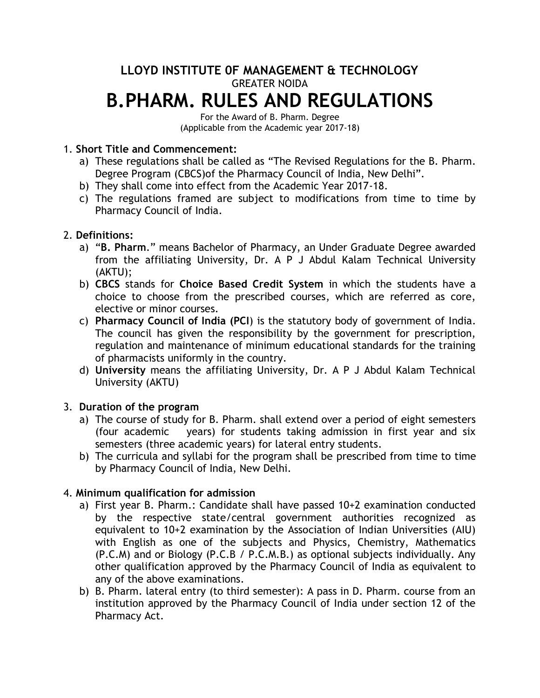# **LLOYD INSTITUTE 0F MANAGEMENT & TECHNOLOGY** GREATER NOIDA **B.PHARM. RULES AND REGULATIONS**

For the Award of B. Pharm. Degree (Applicable from the Academic year 2017-18)

# 1. **Short Title and Commencement:**

- a) These regulations shall be called as "The Revised Regulations for the B. Pharm. Degree Program (CBCS)of the Pharmacy Council of India, New Delhi".
- b) They shall come into effect from the Academic Year 2017-18.
- c) The regulations framed are subject to modifications from time to time by Pharmacy Council of India.

# 2. **Definitions:**

- a) "**B. Pharm**." means Bachelor of Pharmacy, an Under Graduate Degree awarded from the affiliating University, Dr. A P J Abdul Kalam Technical University (AKTU);
- b) **CBCS** stands for **Choice Based Credit System** in which the students have a choice to choose from the prescribed courses, which are referred as core, elective or minor courses.
- c) **Pharmacy Council of India (PCI**) is the statutory body of government of India. The council has given the responsibility by the government for prescription, regulation and maintenance of minimum educational standards for the training of pharmacists uniformly in the country.
- d) **University** means the affiliating University, Dr. A P J Abdul Kalam Technical University (AKTU)

# 3. **Duration of the program**

- a) The course of study for B. Pharm. shall extend over a period of eight semesters (four academic years) for students taking admission in first year and six semesters (three academic years) for lateral entry students.
- b) The curricula and syllabi for the program shall be prescribed from time to time by Pharmacy Council of India, New Delhi.

# 4. **Minimum qualification for admission**

- a) First year B. Pharm.: Candidate shall have passed 10+2 examination conducted by the respective state/central government authorities recognized as equivalent to 10+2 examination by the Association of Indian Universities (AIU) with English as one of the subjects and Physics, Chemistry, Mathematics (P.C.M) and or Biology (P.C.B / P.C.M.B.) as optional subjects individually. Any other qualification approved by the Pharmacy Council of India as equivalent to any of the above examinations.
- b) B. Pharm. lateral entry (to third semester): A pass in D. Pharm. course from an institution approved by the Pharmacy Council of India under section 12 of the Pharmacy Act.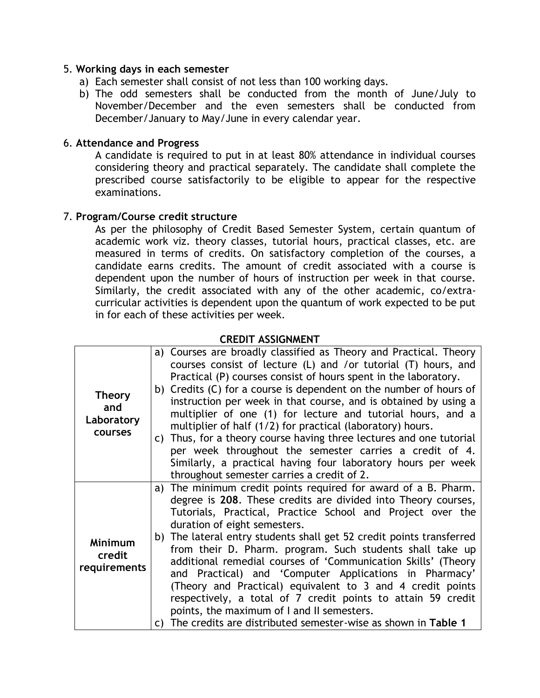## 5. **Working days in each semester**

- a) Each semester shall consist of not less than 100 working days.
- b) The odd semesters shall be conducted from the month of June/July to November/December and the even semesters shall be conducted from December/January to May/June in every calendar year.

## 6. **Attendance and Progress**

A candidate is required to put in at least 80% attendance in individual courses considering theory and practical separately. The candidate shall complete the prescribed course satisfactorily to be eligible to appear for the respective examinations.

## 7. **Program/Course credit structure**

As per the philosophy of Credit Based Semester System, certain quantum of academic work viz. theory classes, tutorial hours, practical classes, etc. are measured in terms of credits. On satisfactory completion of the courses, a candidate earns credits. The amount of credit associated with a course is dependent upon the number of hours of instruction per week in that course. Similarly, the credit associated with any of the other academic, co/extracurricular activities is dependent upon the quantum of work expected to be put in for each of these activities per week.

## **CREDIT ASSIGNMENT**

|                       | a) Courses are broadly classified as Theory and Practical. Theory    |
|-----------------------|----------------------------------------------------------------------|
|                       | courses consist of lecture (L) and /or tutorial (T) hours, and       |
|                       | Practical (P) courses consist of hours spent in the laboratory.      |
| <b>Theory</b>         | b) Credits (C) for a course is dependent on the number of hours of   |
| and                   | instruction per week in that course, and is obtained by using a      |
| Laboratory<br>courses | multiplier of one (1) for lecture and tutorial hours, and a          |
|                       | multiplier of half (1/2) for practical (laboratory) hours.           |
|                       | c) Thus, for a theory course having three lectures and one tutorial  |
|                       | per week throughout the semester carries a credit of 4.              |
|                       | Similarly, a practical having four laboratory hours per week         |
|                       | throughout semester carries a credit of 2.                           |
|                       | a) The minimum credit points required for award of a B. Pharm.       |
| <b>Minimum</b>        | degree is 208. These credits are divided into Theory courses,        |
|                       | Tutorials, Practical, Practice School and Project over the           |
|                       | duration of eight semesters.                                         |
|                       | b) The lateral entry students shall get 52 credit points transferred |
| credit                | from their D. Pharm. program. Such students shall take up            |
| requirements          | additional remedial courses of 'Communication Skills' (Theory        |
|                       | and Practical) and 'Computer Applications in Pharmacy'               |
|                       | (Theory and Practical) equivalent to 3 and 4 credit points           |
|                       | respectively, a total of 7 credit points to attain 59 credit         |
|                       | points, the maximum of I and II semesters.                           |
|                       | c) The credits are distributed semester-wise as shown in Table 1     |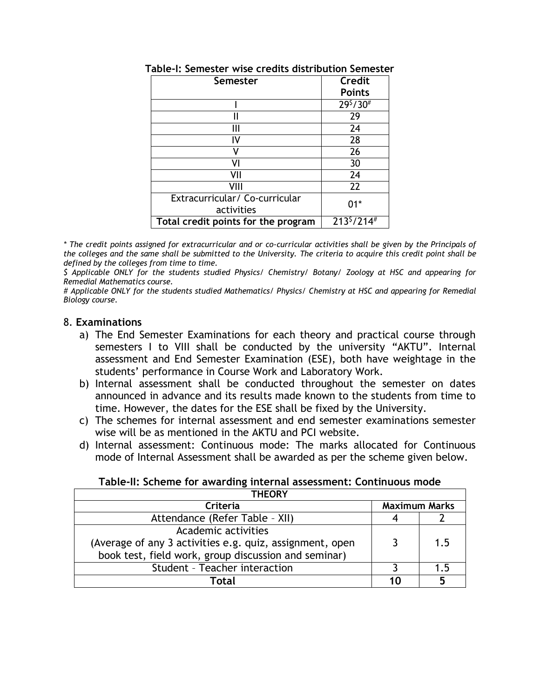| Semester                                     | <b>Credit</b><br><b>Points</b> |
|----------------------------------------------|--------------------------------|
|                                              | $\sqrt{29^5}/30^{\#}$          |
|                                              | 29                             |
|                                              | 24                             |
| I٧                                           | 28                             |
| V                                            | 26                             |
| VI                                           | 30                             |
| vıı                                          | 24                             |
| VIII                                         | 22                             |
| Extracurricular/ Co-curricular<br>activities | በ1*                            |
| Total credit points for the program          | $213^{5}/214^{#}$              |

**Table-I: Semester wise credits distribution Semester**

*\* The credit points assigned for extracurricular and or co-curricular activities shall be given by the Principals of the colleges and the same shall be submitted to the University. The criteria to acquire this credit point shall be defined by the colleges from time to time.*

*\$ Applicable ONLY for the students studied Physics/ Chemistry/ Botany/ Zoology at HSC and appearing for Remedial Mathematics course.*

*# Applicable ONLY for the students studied Mathematics/ Physics/ Chemistry at HSC and appearing for Remedial Biology course.*

## 8. **Examinations**

- a) The End Semester Examinations for each theory and practical course through semesters I to VIII shall be conducted by the university "AKTU". Internal assessment and End Semester Examination (ESE), both have weightage in the students' performance in Course Work and Laboratory Work.
- b) Internal assessment shall be conducted throughout the semester on dates announced in advance and its results made known to the students from time to time. However, the dates for the ESE shall be fixed by the University.
- c) The schemes for internal assessment and end semester examinations semester wise will be as mentioned in the AKTU and PCI website.
- d) Internal assessment: Continuous mode: The marks allocated for Continuous mode of Internal Assessment shall be awarded as per the scheme given below.

| Table-II: Scheme for awarding internal assessment: Continuous mode |  |  |
|--------------------------------------------------------------------|--|--|
|--------------------------------------------------------------------|--|--|

| <b>THEORY</b>                                            |                      |    |
|----------------------------------------------------------|----------------------|----|
| Criteria                                                 | <b>Maximum Marks</b> |    |
| Attendance (Refer Table - XII)                           |                      |    |
| Academic activities                                      |                      |    |
| (Average of any 3 activities e.g. quiz, assignment, open |                      | 15 |
| book test, field work, group discussion and seminar)     |                      |    |
| Student - Teacher interaction                            |                      | 15 |
| Total                                                    |                      |    |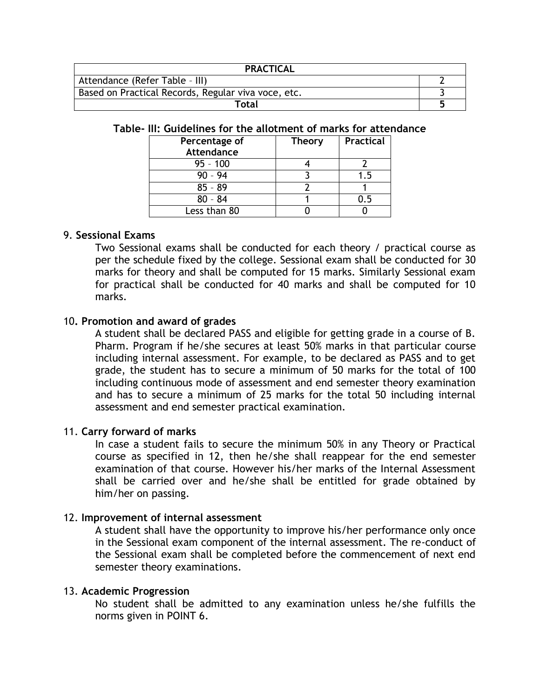| <b>PRACTICAL</b>                                    |  |  |
|-----------------------------------------------------|--|--|
| Attendance (Refer Table - III)                      |  |  |
| Based on Practical Records, Regular viva voce, etc. |  |  |
| Total                                               |  |  |

#### **Table- III: Guidelines for the allotment of marks for attendance**

| Percentage of     | <b>Theory</b> | <b>Practical</b> |
|-------------------|---------------|------------------|
| <b>Attendance</b> |               |                  |
| $95 - 100$        |               |                  |
| $90 - 94$         |               | 1.5              |
| $85 - 89$         |               |                  |
| $80 - 84$         |               | . ל              |
| Less than 80      |               |                  |

## 9. **Sessional Exams**

Two Sessional exams shall be conducted for each theory / practical course as per the schedule fixed by the college. Sessional exam shall be conducted for 30 marks for theory and shall be computed for 15 marks. Similarly Sessional exam for practical shall be conducted for 40 marks and shall be computed for 10 marks.

## 10**. Promotion and award of grades**

A student shall be declared PASS and eligible for getting grade in a course of B. Pharm. Program if he/she secures at least 50% marks in that particular course including internal assessment. For example, to be declared as PASS and to get grade, the student has to secure a minimum of 50 marks for the total of 100 including continuous mode of assessment and end semester theory examination and has to secure a minimum of 25 marks for the total 50 including internal assessment and end semester practical examination.

#### 11. **Carry forward of marks**

In case a student fails to secure the minimum 50% in any Theory or Practical course as specified in 12, then he/she shall reappear for the end semester examination of that course. However his/her marks of the Internal Assessment shall be carried over and he/she shall be entitled for grade obtained by him/her on passing.

#### 12. **Improvement of internal assessment**

A student shall have the opportunity to improve his/her performance only once in the Sessional exam component of the internal assessment. The re-conduct of the Sessional exam shall be completed before the commencement of next end semester theory examinations.

#### 13. **Academic Progression**

No student shall be admitted to any examination unless he/she fulfills the norms given in POINT 6.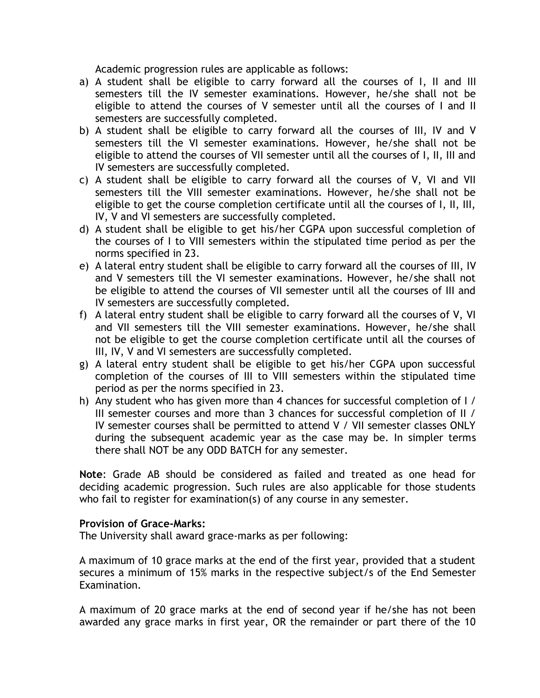Academic progression rules are applicable as follows:

- a) A student shall be eligible to carry forward all the courses of I, II and III semesters till the IV semester examinations. However, he/she shall not be eligible to attend the courses of V semester until all the courses of I and II semesters are successfully completed.
- b) A student shall be eligible to carry forward all the courses of III, IV and V semesters till the VI semester examinations. However, he/she shall not be eligible to attend the courses of VII semester until all the courses of I, II, III and IV semesters are successfully completed.
- c) A student shall be eligible to carry forward all the courses of V, VI and VII semesters till the VIII semester examinations. However, he/she shall not be eligible to get the course completion certificate until all the courses of I, II, III, IV, V and VI semesters are successfully completed.
- d) A student shall be eligible to get his/her CGPA upon successful completion of the courses of I to VIII semesters within the stipulated time period as per the norms specified in 23.
- e) A lateral entry student shall be eligible to carry forward all the courses of III, IV and V semesters till the VI semester examinations. However, he/she shall not be eligible to attend the courses of VII semester until all the courses of III and IV semesters are successfully completed.
- f) A lateral entry student shall be eligible to carry forward all the courses of V, VI and VII semesters till the VIII semester examinations. However, he/she shall not be eligible to get the course completion certificate until all the courses of III, IV, V and VI semesters are successfully completed.
- g) A lateral entry student shall be eligible to get his/her CGPA upon successful completion of the courses of III to VIII semesters within the stipulated time period as per the norms specified in 23.
- h) Any student who has given more than 4 chances for successful completion of I / III semester courses and more than 3 chances for successful completion of II / IV semester courses shall be permitted to attend V / VII semester classes ONLY during the subsequent academic year as the case may be. In simpler terms there shall NOT be any ODD BATCH for any semester.

**Note**: Grade AB should be considered as failed and treated as one head for deciding academic progression. Such rules are also applicable for those students who fail to register for examination(s) of any course in any semester.

## **Provision of Grace-Marks:**

The University shall award grace-marks as per following:

A maximum of 10 grace marks at the end of the first year, provided that a student secures a minimum of 15% marks in the respective subject/s of the End Semester Examination.

A maximum of 20 grace marks at the end of second year if he/she has not been awarded any grace marks in first year, OR the remainder or part there of the 10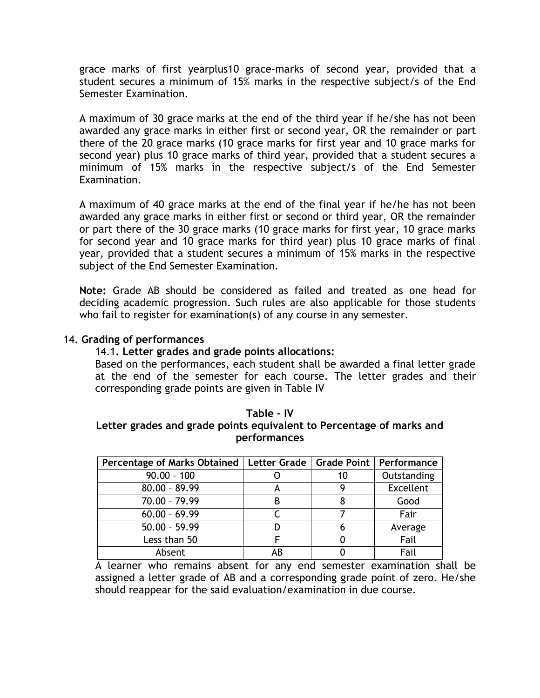grace marks of first yearplus10 grace-marks of second year, provided that a student secures a minimum of 15% marks in the respective subject/s of the End Semester Examination.

A maximum of 30 grace marks at the end of the third year if he/she has not been awarded any grace marks in either first or second year, OR the remainder or part there of the 20 grace marks (10 grace marks for first year and 10 grace marks for second year) plus 10 grace marks of third year, provided that a student secures a minimum of 15% marks in the respective subject/s of the End Semester Examination.

A maximum of 40 grace marks at the end of the final year if he/he has not been awarded any grace marks in either first or second or third year, OR the remainder or part there of the 30 grace marks (10 grace marks for first year, 10 grace marks for second year and 10 grace marks for third year) plus 10 grace marks of final year, provided that a student secures a minimum of 15% marks in the respective subject of the End Semester Examination.

**Note:** Grade AB should be considered as failed and treated as one head for deciding academic progression. Such rules are also applicable for those students who fail to register for examination(s) of any course in any semester.

## 14. **Grading of performances**

## 14.1**. Letter grades and grade points allocations:**

Based on the performances, each student shall be awarded a final letter grade at the end of the semester for each course. The letter grades and their corresponding grade points are given in Table IV

### **Table – IV Letter grades and grade points equivalent to Percentage of marks and performances**

| Percentage of Marks Obtained   Letter Grade   Grade Point   Performance |    |    |                  |
|-------------------------------------------------------------------------|----|----|------------------|
| $90.00 - 100$                                                           |    | 10 | Outstanding      |
| $80.00 - 89.99$                                                         |    |    | <b>Excellent</b> |
| 70.00 - 79.99                                                           | B  |    | Good             |
| $60.00 - 69.99$                                                         |    |    | Fair             |
| $50.00 - 59.99$                                                         |    |    | Average          |
| Less than 50                                                            |    |    | Fail             |
| Absent                                                                  | ΑB |    | Fail             |

A learner who remains absent for any end semester examination shall be assigned a letter grade of AB and a corresponding grade point of zero. He/she should reappear for the said evaluation/examination in due course.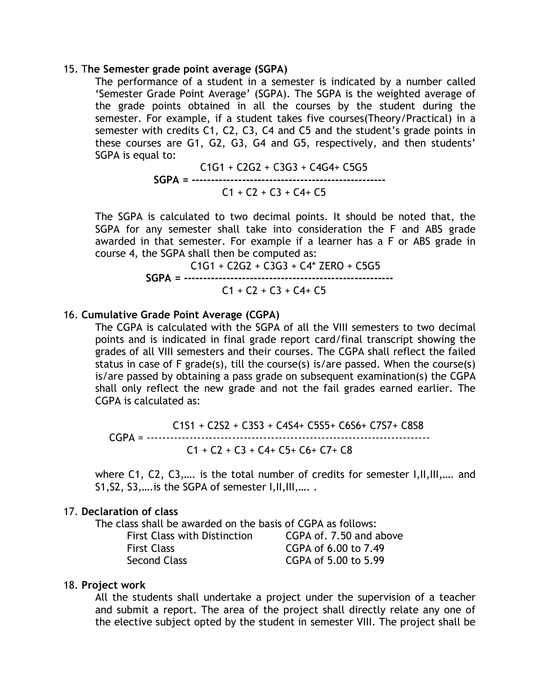#### 15. T**he Semester grade point average (SGPA)**

The performance of a student in a semester is indicated by a number called 'Semester Grade Point Average' (SGPA). The SGPA is the weighted average of the grade points obtained in all the courses by the student during the semester. For example, if a student takes five courses(Theory/Practical) in a semester with credits C1, C2, C3, C4 and C5 and the student's grade points in these courses are G1, G2, G3, G4 and G5, respectively, and then students' SGPA is equal to:

> C1G1 + C2G2 + C3G3 + C4G4+ C5G5 **SGPA = --------------------------------------------------**  $C1 + C2 + C3 + C4 + C5$

The SGPA is calculated to two decimal points. It should be noted that, the SGPA for any semester shall take into consideration the F and ABS grade awarded in that semester. For example if a learner has a F or ABS grade in course 4, the SGPA shall then be computed as:

$$
CGP = 161 + C2G2 + C3G3 + C4* ZERO + C5G5
$$
\n
$$
SGPA = 1161 + C2 + C3 + C4* C5
$$
\n
$$
C1 + C2 + C3 + C4+ C5
$$

### 16. **Cumulative Grade Point Average (CGPA)**

The CGPA is calculated with the SGPA of all the VIII semesters to two decimal points and is indicated in final grade report card/final transcript showing the grades of all VIII semesters and their courses. The CGPA shall reflect the failed status in case of F grade(s), till the course(s) is/are passed. When the course(s) is/are passed by obtaining a pass grade on subsequent examination(s) the CGPA shall only reflect the new grade and not the fail grades earned earlier. The CGPA is calculated as:

 C1S1 + C2S2 + C3S3 + C4S4+ C5S5+ C6S6+ C7S7+ C8S8 CGPA = ------------------------------------------------------------------------- C1 + C2 + C3 + C4+ C5+ C6+ C7+ C8

where C1, C2, C3,.... is the total number of credits for semester I, II, III,.... and S1, S2, S3, ... is the SGPA of semester I, II, III, .....

#### 17. **Declaration of class**

The class shall be awarded on the basis of CGPA as follows:

| <b>First Class with Distinction</b> | CGPA of .7.50 and above |
|-------------------------------------|-------------------------|
| First Class                         | CGPA of 6.00 to 7.49    |
| <b>Second Class</b>                 | CGPA of 5.00 to 5.99    |

#### 18. **Project work**

All the students shall undertake a project under the supervision of a teacher and submit a report. The area of the project shall directly relate any one of the elective subject opted by the student in semester VIII. The project shall be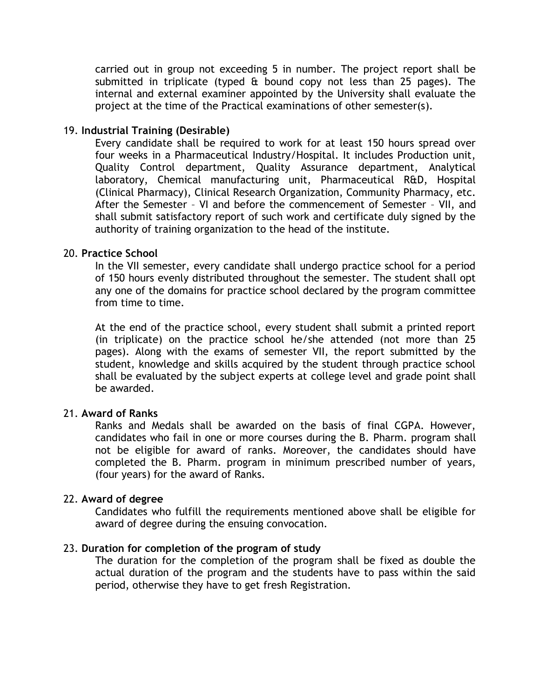carried out in group not exceeding 5 in number. The project report shall be submitted in triplicate (typed  $\hat{a}$  bound copy not less than 25 pages). The internal and external examiner appointed by the University shall evaluate the project at the time of the Practical examinations of other semester(s).

## 19. **Industrial Training (Desirable)**

Every candidate shall be required to work for at least 150 hours spread over four weeks in a Pharmaceutical Industry/Hospital. It includes Production unit, Quality Control department, Quality Assurance department, Analytical laboratory, Chemical manufacturing unit, Pharmaceutical R&D, Hospital (Clinical Pharmacy), Clinical Research Organization, Community Pharmacy, etc. After the Semester – VI and before the commencement of Semester – VII, and shall submit satisfactory report of such work and certificate duly signed by the authority of training organization to the head of the institute.

## 20. **Practice School**

In the VII semester, every candidate shall undergo practice school for a period of 150 hours evenly distributed throughout the semester. The student shall opt any one of the domains for practice school declared by the program committee from time to time.

At the end of the practice school, every student shall submit a printed report (in triplicate) on the practice school he/she attended (not more than 25 pages). Along with the exams of semester VII, the report submitted by the student, knowledge and skills acquired by the student through practice school shall be evaluated by the subject experts at college level and grade point shall be awarded.

## 21. **Award of Ranks**

Ranks and Medals shall be awarded on the basis of final CGPA. However, candidates who fail in one or more courses during the B. Pharm. program shall not be eligible for award of ranks. Moreover, the candidates should have completed the B. Pharm. program in minimum prescribed number of years, (four years) for the award of Ranks.

#### 22. **Award of degree**

Candidates who fulfill the requirements mentioned above shall be eligible for award of degree during the ensuing convocation.

## 23. **Duration for completion of the program of study**

The duration for the completion of the program shall be fixed as double the actual duration of the program and the students have to pass within the said period, otherwise they have to get fresh Registration.